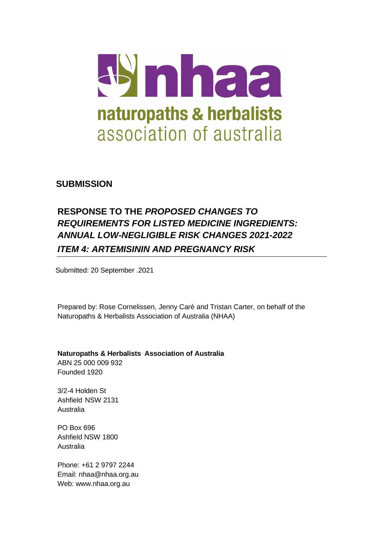

**SUBMISSION**

# **RESPONSE TO THE** *PROPOSED CHANGES TO REQUIREMENTS FOR LISTED MEDICINE INGREDIENTS: ANNUAL LOW-NEGLIGIBLE RISK CHANGES 2021-2022 ITEM 4: ARTEMISININ AND PREGNANCY RISK*

Submitted: 20 September .2021

Prepared by: Rose Cornelissen, Jenny Carè and Tristan Carter, on behalf of the Naturopaths & Herbalists Association of Australia (NHAA)

**Naturopaths & Herbalists Association of Australia** ABN 25 000 009 932 Founded 1920

3/2-4 Holden St Ashfield NSW 2131 Australia

PO Box 696 Ashfield NSW 1800 Australia

Phone: +61 2 9797 2244 Email: [nhaa@nhaa.org.au](mailto:nhaa@nhaa.org.au) Web: [www.nhaa.org.au](http://www.nhaa.org.au/)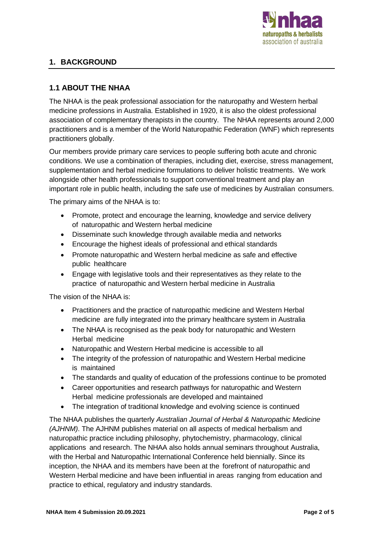

# **1. BACKGROUND**

### **1.1 ABOUT THE NHAA**

The NHAA is the peak professional association for the naturopathy and Western herbal medicine professions in Australia. Established in 1920, it is also the oldest professional association of complementary therapists in the country. The NHAA represents around 2,000 practitioners and is a member of the World Naturopathic Federation (WNF) which represents practitioners globally.

Our members provide primary care services to people suffering both acute and chronic conditions. We use a combination of therapies, including diet, exercise, stress management, supplementation and herbal medicine formulations to deliver holistic treatments. We work alongside other health professionals to support conventional treatment and play an important role in public health, including the safe use of medicines by Australian consumers.

The primary aims of the NHAA is to:

- Promote, protect and encourage the learning, knowledge and service delivery of naturopathic and Western herbal medicine
- Disseminate such knowledge through available media and networks
- Encourage the highest ideals of professional and ethical standards
- Promote naturopathic and Western herbal medicine as safe and effective public healthcare
- Engage with legislative tools and their representatives as they relate to the practice of naturopathic and Western herbal medicine in Australia

The vision of the NHAA is:

- Practitioners and the practice of naturopathic medicine and Western Herbal medicine are fully integrated into the primary healthcare system in Australia
- The NHAA is recognised as the peak body for naturopathic and Western Herbal medicine
- Naturopathic and Western Herbal medicine is accessible to all
- The integrity of the profession of naturopathic and Western Herbal medicine is maintained
- The standards and quality of education of the professions continue to be promoted
- Career opportunities and research pathways for naturopathic and Western Herbal medicine professionals are developed and maintained
- The integration of traditional knowledge and evolving science is continued

The NHAA publishes the quarterly *Australian Journal of Herbal & Naturopathic Medicine (AJHNM)*. The AJHNM publishes material on all aspects of medical herbalism and naturopathic practice including philosophy, phytochemistry, pharmacology, clinical applications and research. The NHAA also holds annual seminars throughout Australia, with the Herbal and Naturopathic International Conference held biennially. Since its inception, the NHAA and its members have been at the forefront of naturopathic and Western Herbal medicine and have been influential in areas ranging from education and practice to ethical, regulatory and industry standards.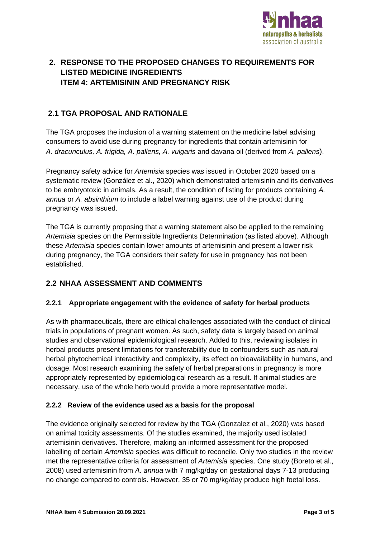

# **2. RESPONSE TO THE PROPOSED CHANGES TO REQUIREMENTS FOR LISTED MEDICINE INGREDIENTS ITEM 4: ARTEMISININ AND PREGNANCY RISK**

## **2.1 TGA PROPOSAL AND RATIONALE**

The TGA proposes the inclusion of a warning statement on the medicine label advising consumers to avoid use during pregnancy for ingredients that contain artemisinin for *A. dracunculus, A. frigida, A. pallens, A. vulgaris* and davana oil (derived from *A. pallens*).

Pregnancy safety advice for *Artemisia* species was issued in October 2020 based on a systematic review (González et al., 2020) which demonstrated artemisinin and its derivatives to be embryotoxic in animals. As a result, the condition of listing for products containing *A. annua* or *A. absinthium* to include a label warning against use of the product during pregnancy was issued.

The TGA is currently proposing that a warning statement also be applied to the remaining *Artemisia* species on the Permissible Ingredients Determination (as listed above). Although these *Artemisia* species contain lower amounts of artemisinin and present a lower risk during pregnancy, the TGA considers their safety for use in pregnancy has not been established.

### **2.2 NHAA ASSESSMENT AND COMMENTS**

#### **2.2.1 Appropriate engagement with the evidence of safety for herbal products**

As with pharmaceuticals, there are ethical challenges associated with the conduct of clinical trials in populations of pregnant women. As such, safety data is largely based on animal studies and observational epidemiological research. Added to this, reviewing isolates in herbal products present limitations for transferability due to confounders such as natural herbal phytochemical interactivity and complexity, its effect on bioavailability in humans, and dosage. Most research examining the safety of herbal preparations in pregnancy is more appropriately represented by epidemiological research as a result. If animal studies are necessary, use of the whole herb would provide a more representative model.

#### **2.2.2 Review of the evidence used as a basis for the proposal**

The evidence originally selected for review by the TGA (Gonzalez et al., 2020) was based on animal toxicity assessments. Of the studies examined, the majority used isolated artemisinin derivatives. Therefore, making an informed assessment for the proposed labelling of certain *Artemisia* species was difficult to reconcile. Only two studies in the review met the representative criteria for assessment of *Artemisia* species. One study (Boreto et al., 2008) used artemisinin from *A. annua* with 7 mg/kg/day on gestational days 7-13 producing no change compared to controls. However, 35 or 70 mg/kg/day produce high foetal loss.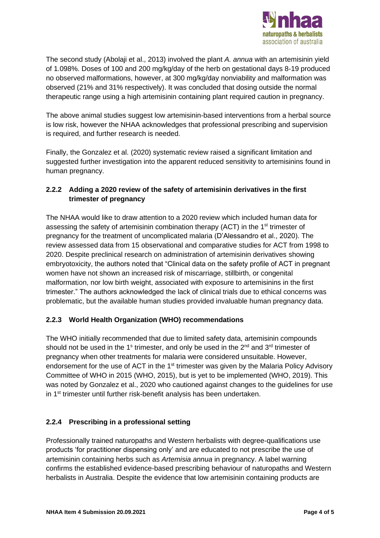

The second study (Abolaji et al., 2013) involved the plant *A. annua* with an artemisinin yield of 1.098%. Doses of 100 and 200 mg/kg/day of the herb on gestational days 8-19 produced no observed malformations, however, at 300 mg/kg/day nonviability and malformation was observed (21% and 31% respectively). It was concluded that dosing outside the normal therapeutic range using a high artemisinin containing plant required caution in pregnancy.

The above animal studies suggest low artemisinin-based interventions from a herbal source is low risk, however the NHAA acknowledges that professional prescribing and supervision is required, and further research is needed.

Finally, the Gonzalez et al. (2020) systematic review raised a significant limitation and suggested further investigation into the apparent reduced sensitivity to artemisinins found in human pregnancy.

### **2.2.2 Adding a 2020 review of the safety of artemisinin derivatives in the first trimester of pregnancy**

The NHAA would like to draw attention to a 2020 review which included human data for assessing the safety of artemisinin combination therapy (ACT) in the 1<sup>st</sup> trimester of pregnancy for the treatment of uncomplicated malaria (D'Alessandro et al., 2020). The review assessed data from 15 observational and comparative studies for ACT from 1998 to 2020. Despite preclinical research on administration of artemisinin derivatives showing embryotoxicity, the authors noted that "Clinical data on the safety profile of ACT in pregnant women have not shown an increased risk of miscarriage, stillbirth, or congenital malformation, nor low birth weight, associated with exposure to artemisinins in the first trimester." The authors acknowledged the lack of clinical trials due to ethical concerns was problematic, but the available human studies provided invaluable human pregnancy data.

### **2.2.3 World Health Organization (WHO) recommendations**

The WHO initially recommended that due to limited safety data, artemisinin compounds should not be used in the 1<sup>s</sup> trimester, and only be used in the 2<sup>nd</sup> and 3<sup>rd</sup> trimester of pregnancy when other treatments for malaria were considered unsuitable. However, endorsement for the use of ACT in the 1<sup>st</sup> trimester was given by the Malaria Policy Advisory Committee of WHO in 2015 (WHO, 2015), but is yet to be implemented (WHO, 2019). This was noted by Gonzalez et al., 2020 who cautioned against changes to the guidelines for use in 1 st trimester until further risk-benefit analysis has been undertaken.

# **2.2.4 Prescribing in a professional setting**

Professionally trained naturopaths and Western herbalists with degree-qualifications use products 'for practitioner dispensing only' and are educated to not prescribe the use of artemisinin containing herbs such as *Artemisia annua* in pregnancy. A label warning confirms the established evidence-based prescribing behaviour of naturopaths and Western herbalists in Australia. Despite the evidence that low artemisinin containing products are